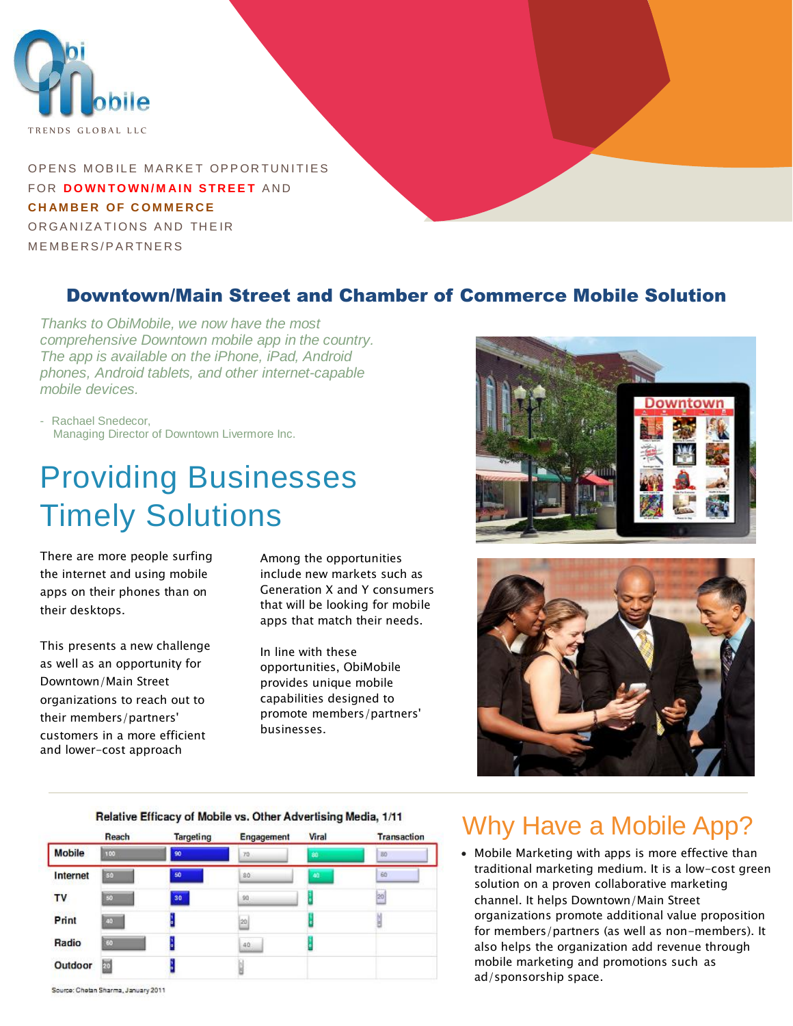

OPENS MOBILE MARKET OPPORTUNITIES **FOR DOWNTOWN/MAIN STREET AND CHAMBER OF COMMERCE** OR GANIZATIONS AND THEIR MEMBERS/PARTNERS

### Downtown/Main Street and Chamber of Commerce Mobile Solution

*Thanks to ObiMobile, we now have the most comprehensive Downtown mobile app in the country. The app is available on the iPhone, iPad, Android phones, Android tablets, and other internet-capable mobile devices.*

- Rachael Snedecor, Managing Director of Downtown Livermore Inc.

# Providing Businesses Timely Solutions

There are more people surfing the internet and using mobile apps on their phones than on their desktops.

This presents a new challenge as well as an opportunity for Downtown/Main Street organizations to reach out to their members/partners' customers in a more efficient and lower-cost approach

 Among the opportunities include new markets such as Generation X and Y consumers that will be looking for mobile apps that match their needs.

In line with these opportunities, ObiMobile provides unique mobile capabilities designed to promote members/partners' businesses.





#### Relative Efficacy of Mobile vs. Other Advertising Media, 1/11



Why Have a Mobile App?

 Mobile Marketing with apps is more effective than traditional marketing medium. It is a low-cost green solution on a proven collaborative marketing channel. It helps Downtown/Main Street organizations promote additional value proposition for members/partners (as well as non-members). It also helps the organization add revenue through mobile marketing and promotions such as ad/sponsorship space.

Source: Chetan Sharma, January 2011